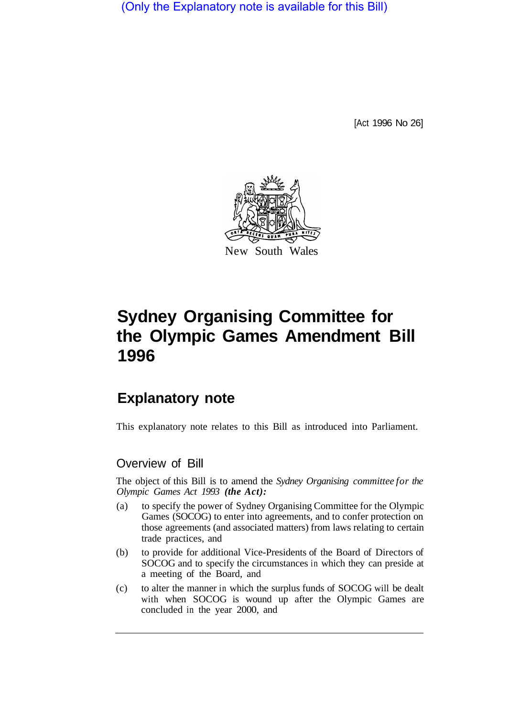(Only the Explanatory note is available for this Bill)

[Act 1996 No 26]



# **Sydney Organising Committee for the Olympic Games Amendment Bill 1996**

## **Explanatory note**

This explanatory note relates to this Bill as introduced into Parliament.

#### Overview of Bill

The object of this Bill is to amend the *Sydney Organising committee for the Olympic Games Act 1993 (the Act):* 

- (a) to specify the power of Sydney Organising Committee for the Olympic Games (SOCOG) to enter into agreements, and to confer protection on those agreements (and associated matters) from laws relating to certain trade practices, and
- (b) to provide for additional Vice-Presidents of the Board of Directors of SOCOG and to specify the circumstances in which they can preside at a meeting of the Board, and
- (c) to alter the manner in which the surplus funds of SOCOG will be dealt with when SOCOG is wound up after the Olympic Games are concluded in the year 2000, and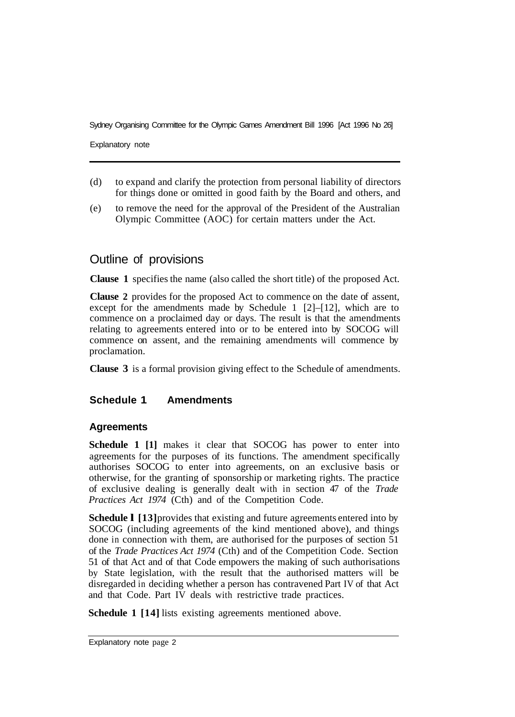Sydney Organising Committee for the Olympic Games Amendment Bill 1996 [Act 1996 No 26]

Explanatory note

- (d) to expand and clarify the protection from personal liability of directors for things done or omitted in good faith by the Board and others, and
- (e) to remove the need for the approval of the President of the Australian Olympic Committee (AOC) for certain matters under the Act.

### Outline of provisions

**Clause 1** specifies the name (also called the short title) of the proposed Act.

**Clause 2** provides for the proposed Act to commence on the date of assent, except for the amendments made by Schedule 1 [2]–[12], which are to commence on a proclaimed day or days. The result is that the amendments relating to agreements entered into or to be entered into by SOCOG will commence on assent, and the remaining amendments will commence by proclamation.

**Clause 3** is a formal provision giving effect to the Schedule of amendments.

#### **Schedule 1 Amendments**

#### **Agreements**

**Schedule 1 [1]** makes it clear that SOCOG has power to enter into agreements for the purposes of its functions. The amendment specifically authorises SOCOG to enter into agreements, on an exclusive basis or otherwise, for the granting of sponsorship or marketing rights. The practice of exclusive dealing is generally dealt with in section 47 of the *Trade Practices Act 1974* (Cth) and of the Competition Code.

**Schedule I** [13] provides that existing and future agreements entered into by SOCOG (including agreements of the kind mentioned above), and things done in connection with them, are authorised for the purposes of section 51 of the *Trade Practices Act 1974* (Cth) and of the Competition Code. Section 51 of that Act and of that Code empowers the making of such authorisations by State legislation, with the result that the authorised matters will be disregarded in deciding whether a person has contravened Part IV of that Act and that Code. Part IV deals with restrictive trade practices.

**Schedule 1 [14]** lists existing agreements mentioned above.